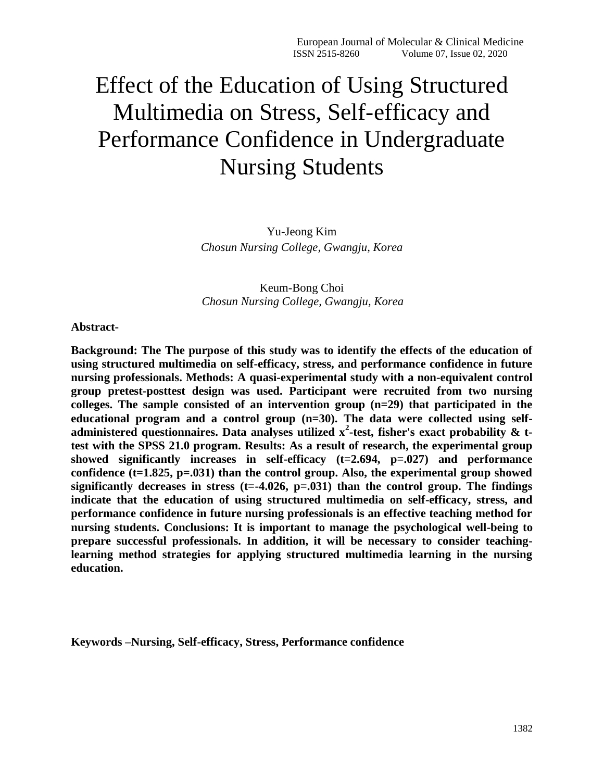# Effect of the Education of Using Structured Multimedia on Stress, Self-efficacy and Performance Confidence in Undergraduate Nursing Students

Yu-Jeong Kim *Chosun Nursing College, Gwangju, Korea*

Keum-Bong Choi *Chosun Nursing College, Gwangju, Korea*

**Abstract-**

**Background: The The purpose of this study was to identify the effects of the education of using structured multimedia on self-efficacy, stress, and performance confidence in future nursing professionals. Methods: A quasi-experimental study with a non-equivalent control group pretest-posttest design was used. Participant were recruited from two nursing colleges. The sample consisted of an intervention group (n=29) that participated in the educational program and a control group (n=30). The data were collected using selfadministered questionnaires. Data analyses utilized x<sup>2</sup> -test, fisher's exact probability & ttest with the SPSS 21.0 program. Results: As a result of research, the experimental group showed significantly increases in self-efficacy (t=2.694, p=.027) and performance confidence (t=1.825, p=.031) than the control group. Also, the experimental group showed significantly decreases in stress (t=-4.026, p=.031) than the control group. The findings indicate that the education of using structured multimedia on self-efficacy, stress, and performance confidence in future nursing professionals is an effective teaching method for nursing students. Conclusions: It is important to manage the psychological well-being to prepare successful professionals. In addition, it will be necessary to consider teachinglearning method strategies for applying structured multimedia learning in the nursing education.** 

**Keywords –Nursing, Self-efficacy, Stress, Performance confidence**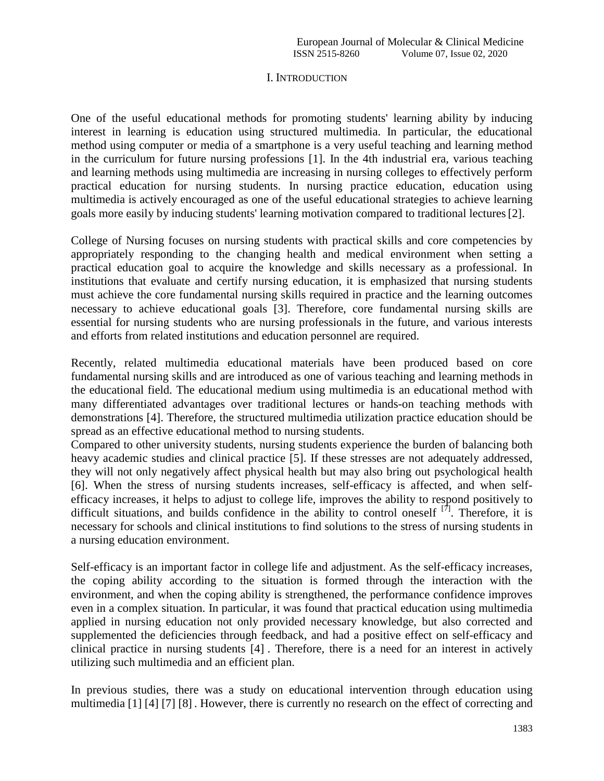## I. INTRODUCTION

One of the useful educational methods for promoting students' learning ability by inducing interest in learning is education using structured multimedia. In particular, the educational method using computer or media of a smartphone is a very useful teaching and learning method in the curriculum for future nursing professions [1]. In the 4th industrial era, various teaching and learning methods using multimedia are increasing in nursing colleges to effectively perform practical education for nursing students. In nursing practice education, education using multimedia is actively encouraged as one of the useful educational strategies to achieve learning goals more easily by inducing students' learning motivation compared to traditional lectures[2].

College of Nursing focuses on nursing students with practical skills and core competencies by appropriately responding to the changing health and medical environment when setting a practical education goal to acquire the knowledge and skills necessary as a professional. In institutions that evaluate and certify nursing education, it is emphasized that nursing students must achieve the core fundamental nursing skills required in practice and the learning outcomes necessary to achieve educational goals [3]. Therefore, core fundamental nursing skills are essential for nursing students who are nursing professionals in the future, and various interests and efforts from related institutions and education personnel are required.

Recently, related multimedia educational materials have been produced based on core fundamental nursing skills and are introduced as one of various teaching and learning methods in the educational field. The educational medium using multimedia is an educational method with many differentiated advantages over traditional lectures or hands-on teaching methods with demonstrations [4]. Therefore, the structured multimedia utilization practice education should be spread as an effective educational method to nursing students.

Compared to other university students, nursing students experience the burden of balancing both heavy academic studies and clinical practice [5]. If these stresses are not adequately addressed, they will not only negatively affect physical health but may also bring out psychological health [6]. When the stress of nursing students increases, self-efficacy is affected, and when selfefficacy increases, it helps to adjust to college life, improves the ability to respond positively to difficult situations, and builds confidence in the ability to control oneself  $[7]$ . Therefore, it is necessary for schools and clinical institutions to find solutions to the stress of nursing students in a nursing education environment.

Self-efficacy is an important factor in college life and adjustment. As the self-efficacy increases, the coping ability according to the situation is formed through the interaction with the environment, and when the coping ability is strengthened, the performance confidence improves even in a complex situation. In particular, it was found that practical education using multimedia applied in nursing education not only provided necessary knowledge, but also corrected and supplemented the deficiencies through feedback, and had a positive effect on self-efficacy and clinical practice in nursing students [4] . Therefore, there is a need for an interest in actively utilizing such multimedia and an efficient plan.

In previous studies, there was a study on educational intervention through education using multimedia [1] [4] [7] [8] . However, there is currently no research on the effect of correcting and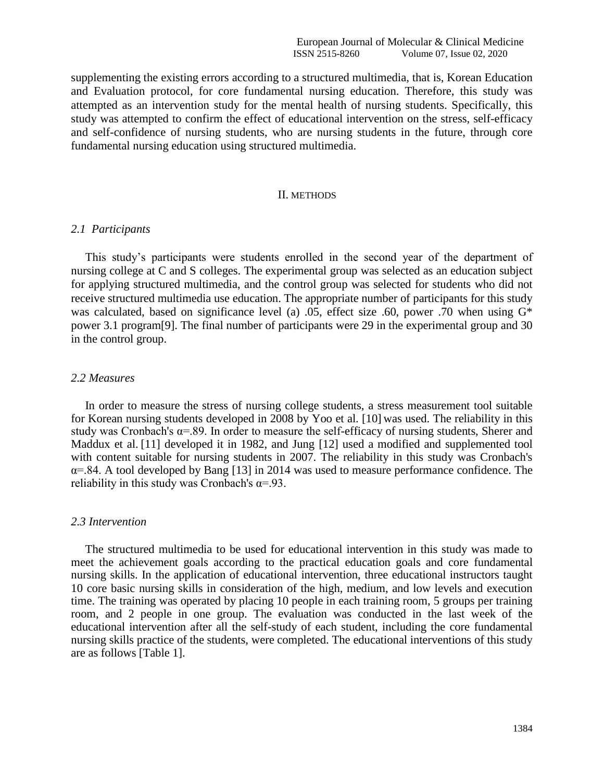supplementing the existing errors according to a structured multimedia, that is, Korean Education and Evaluation protocol, for core fundamental nursing education. Therefore, this study was attempted as an intervention study for the mental health of nursing students. Specifically, this study was attempted to confirm the effect of educational intervention on the stress, self-efficacy and self-confidence of nursing students, who are nursing students in the future, through core fundamental nursing education using structured multimedia.

#### II. METHODS

#### *2.1 Participants*

This study's participants were students enrolled in the second year of the department of nursing college at C and S colleges. The experimental group was selected as an education subject for applying structured multimedia, and the control group was selected for students who did not receive structured multimedia use education. The appropriate number of participants for this study was calculated, based on significance level (a) .05, effect size .60, power .70 when using  $G^*$ power 3.1 program[9]. The final number of participants were 29 in the experimental group and 30 in the control group.

#### *2.2 Measures*

In order to measure the stress of nursing college students, a stress measurement tool suitable for Korean nursing students developed in 2008 by Yoo et al. [10] was used. The reliability in this study was Cronbach's  $\alpha$ =.89. In order to measure the self-efficacy of nursing students, Sherer and Maddux et al. [11] developed it in 1982, and Jung [12] used a modified and supplemented tool with content suitable for nursing students in 2007. The reliability in this study was Cronbach's  $\alpha$ =.84. A tool developed by Bang [13] in 2014 was used to measure performance confidence. The reliability in this study was Cronbach's  $\alpha = 93$ .

#### *2.3 Intervention*

The structured multimedia to be used for educational intervention in this study was made to meet the achievement goals according to the practical education goals and core fundamental nursing skills. In the application of educational intervention, three educational instructors taught 10 core basic nursing skills in consideration of the high, medium, and low levels and execution time. The training was operated by placing 10 people in each training room, 5 groups per training room, and 2 people in one group. The evaluation was conducted in the last week of the educational intervention after all the self-study of each student, including the core fundamental nursing skills practice of the students, were completed. The educational interventions of this study are as follows [Table 1].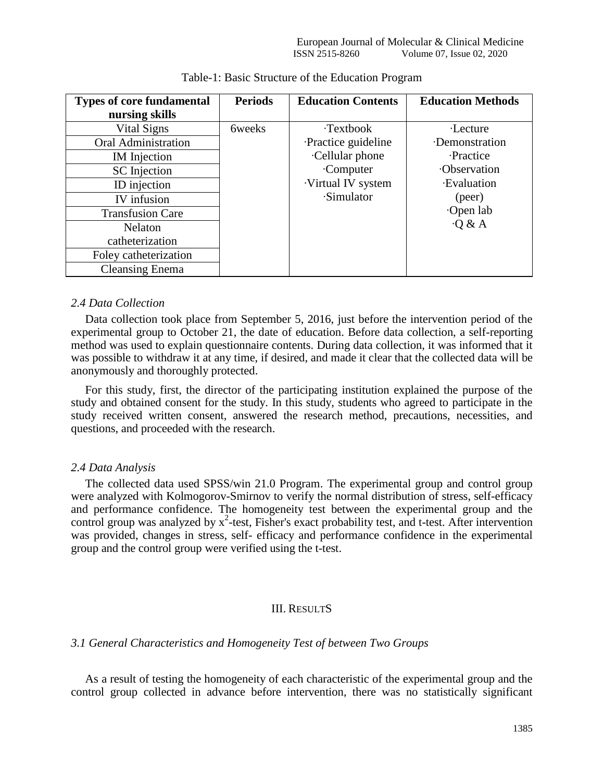| <b>Types of core fundamental</b> | <b>Periods</b>     | <b>Education Contents</b> | <b>Education Methods</b> |
|----------------------------------|--------------------|---------------------------|--------------------------|
| nursing skills                   |                    |                           |                          |
| Vital Signs                      | <b>6</b> by elects | <b>Textbook</b>           | ·Lecture                 |
| <b>Oral Administration</b>       |                    | Practice guideline        | ·Demonstration           |
| IM Injection                     |                    | Cellular phone            | <b>Practice</b>          |
| <b>SC</b> Injection              |                    | Computer                  | ·Observation             |
| ID injection                     |                    | ·Virtual IV system        | <b>Evaluation</b>        |
| IV infusion                      |                    | ·Simulator                | (peer)                   |
| <b>Transfusion Care</b>          |                    |                           | Open lab                 |
| <b>Nelaton</b>                   |                    |                           | $\cdot$ Q & A            |
| catheterization                  |                    |                           |                          |
| Foley catheterization            |                    |                           |                          |
| <b>Cleansing Enema</b>           |                    |                           |                          |

#### Table-1: Basic Structure of the Education Program

#### *2.4 Data Collection*

Data collection took place from September 5, 2016, just before the intervention period of the experimental group to October 21, the date of education. Before data collection, a self-reporting method was used to explain questionnaire contents. During data collection, it was informed that it was possible to withdraw it at any time, if desired, and made it clear that the collected data will be anonymously and thoroughly protected.

For this study, first, the director of the participating institution explained the purpose of the study and obtained consent for the study. In this study, students who agreed to participate in the study received written consent, answered the research method, precautions, necessities, and questions, and proceeded with the research.

# *2.4 Data Analysis*

The collected data used SPSS/win 21.0 Program. The experimental group and control group were analyzed with Kolmogorov-Smirnov to verify the normal distribution of stress, self-efficacy and performance confidence. The homogeneity test between the experimental group and the control group was analyzed by  $x^2$ -test, Fisher's exact probability test, and t-test. After intervention was provided, changes in stress, self- efficacy and performance confidence in the experimental group and the control group were verified using the t-test.

# III. RESULTS

# *3.1 General Characteristics and Homogeneity Test of between Two Groups*

As a result of testing the homogeneity of each characteristic of the experimental group and the control group collected in advance before intervention, there was no statistically significant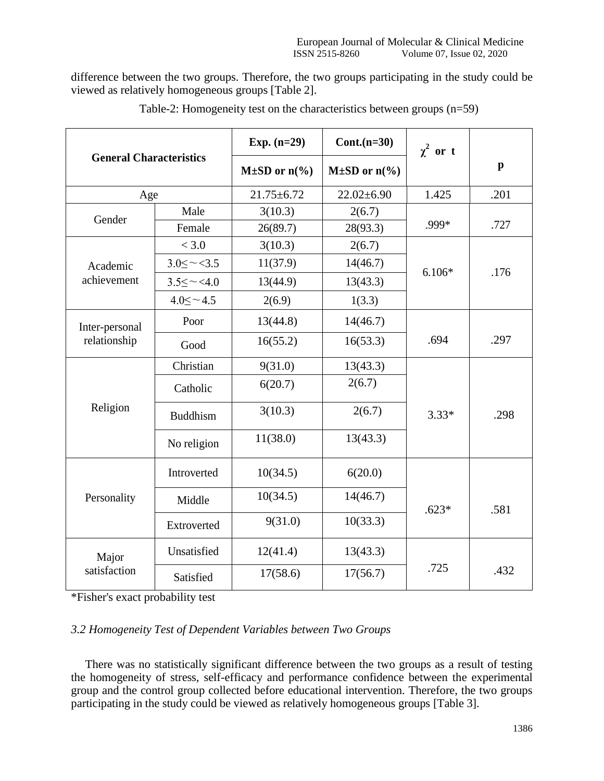difference between the two groups. Therefore, the two groups participating in the study could be viewed as relatively homogeneous groups [Table 2].

| <b>General Characteristics</b> |                       | Exp. $(n=29)$<br>$Cont.(n=30)$ |                             | $\chi^2$ or t |              |  |
|--------------------------------|-----------------------|--------------------------------|-----------------------------|---------------|--------------|--|
|                                |                       | $M\pm SD$ or $n\frac{6}{6}$    | $M\pm SD$ or $n\frac{6}{6}$ |               | $\mathbf{p}$ |  |
| Age                            |                       | $21.75 \pm 6.72$               | $22.02 \pm 6.90$            | 1.425         | .201         |  |
| Gender                         | Male                  | 3(10.3)                        | 2(6.7)                      |               |              |  |
|                                | Female                | 26(89.7)                       | 28(93.3)                    | .999*         | .727         |  |
|                                | < 3.0                 | 3(10.3)                        | 2(6.7)                      |               |              |  |
| Academic                       | $3.0 \leq \sim <3.5$  | 11(37.9)                       | 14(46.7)                    | $6.106*$      | .176         |  |
| achievement                    | $3.5 \leq \sim < 4.0$ | 13(44.9)                       | 13(43.3)                    |               |              |  |
|                                | $4.0 < -4.5$          | 2(6.9)                         | 1(3.3)                      |               |              |  |
| Inter-personal<br>relationship | Poor                  | 13(44.8)                       | 14(46.7)                    |               |              |  |
|                                | Good                  | 16(55.2)                       | 16(53.3)                    | .694          | .297         |  |
| Religion                       | Christian             | 9(31.0)                        | 13(43.3)                    |               |              |  |
|                                | Catholic              | 6(20.7)                        | 2(6.7)                      |               |              |  |
|                                | <b>Buddhism</b>       | 3(10.3)                        | 2(6.7)                      | $3.33*$       | .298         |  |
|                                | No religion           | 11(38.0)                       | 13(43.3)                    |               |              |  |
| Personality                    | Introverted           | 10(34.5)                       | 6(20.0)                     |               |              |  |
|                                | Middle                | 10(34.5)                       | 14(46.7)                    | $.623*$       | .581         |  |
|                                | Extroverted           | 9(31.0)                        | 10(33.3)                    |               |              |  |
| Major<br>satisfaction          | Unsatisfied           | 12(41.4)                       | 13(43.3)                    |               |              |  |
|                                | Satisfied             | 17(58.6)                       | 17(56.7)                    | .725          | .432         |  |

Table-2: Homogeneity test on the characteristics between groups (n=59)

\*Fisher's exact probability test

# *3.2 Homogeneity Test of Dependent Variables between Two Groups*

There was no statistically significant difference between the two groups as a result of testing the homogeneity of stress, self-efficacy and performance confidence between the experimental group and the control group collected before educational intervention. Therefore, the two groups participating in the study could be viewed as relatively homogeneous groups [Table 3].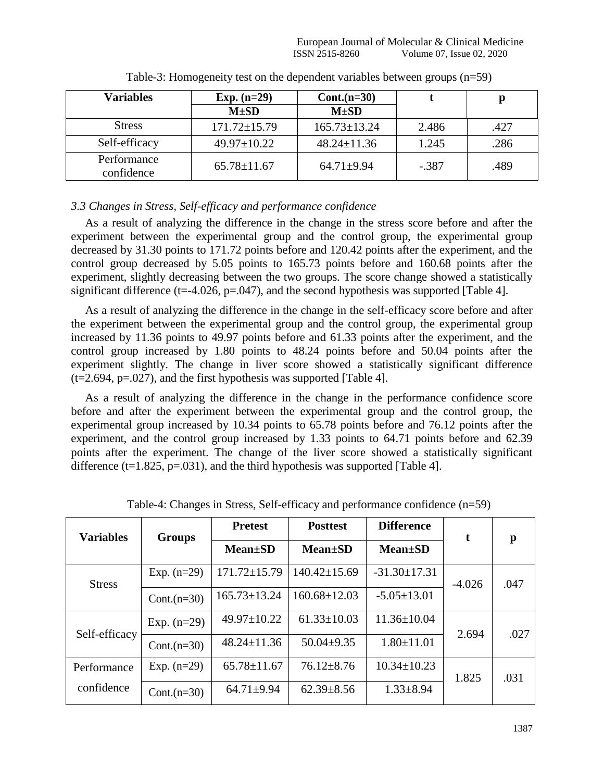| <b>Variables</b>          | Exp. $(n=29)$      | $Cont.(n=30)$      |         |      |
|---------------------------|--------------------|--------------------|---------|------|
|                           | $M\pm SD$          | $M\pm SD$          |         |      |
| <b>Stress</b>             | $171.72 \pm 15.79$ | $165.73 \pm 13.24$ | 2.486   | .427 |
| Self-efficacy             | $49.97 \pm 10.22$  | $48.24 \pm 11.36$  | 1.245   | .286 |
| Performance<br>confidence | $65.78 \pm 11.67$  | $64.71 + 9.94$     | $-.387$ | .489 |

Table-3: Homogeneity test on the dependent variables between groups (n=59)

# *3.3 Changes in Stress, Self-efficacy and performance confidence*

As a result of analyzing the difference in the change in the stress score before and after the experiment between the experimental group and the control group, the experimental group decreased by 31.30 points to 171.72 points before and 120.42 points after the experiment, and the control group decreased by 5.05 points to 165.73 points before and 160.68 points after the experiment, slightly decreasing between the two groups. The score change showed a statistically significant difference ( $t=4.026$ ,  $p=.047$ ), and the second hypothesis was supported [Table 4].

As a result of analyzing the difference in the change in the self-efficacy score before and after the experiment between the experimental group and the control group, the experimental group increased by 11.36 points to 49.97 points before and 61.33 points after the experiment, and the control group increased by 1.80 points to 48.24 points before and 50.04 points after the experiment slightly. The change in liver score showed a statistically significant difference  $(t=2.694, p=.027)$ , and the first hypothesis was supported [Table 4].

As a result of analyzing the difference in the change in the performance confidence score before and after the experiment between the experimental group and the control group, the experimental group increased by 10.34 points to 65.78 points before and 76.12 points after the experiment, and the control group increased by 1.33 points to 64.71 points before and 62.39 points after the experiment. The change of the liver score showed a statistically significant difference (t=1.825, p=.031), and the third hypothesis was supported [Table 4].

| <b>Variables</b> | <b>Groups</b>  | <b>Pretest</b>     | <b>Posttest</b>    | <b>Difference</b>  | t        | $\mathbf{p}$ |
|------------------|----------------|--------------------|--------------------|--------------------|----------|--------------|
|                  |                | <b>Mean</b> ±SD    | <b>Mean</b> ±SD    | $Mean \pm SD$      |          |              |
| <b>Stress</b>    | Exp. $(n=29)$  | $171.72 \pm 15.79$ | $140.42 \pm 15.69$ | $-31.30 \pm 17.31$ | $-4.026$ | .047         |
|                  | Cont. $(n=30)$ | $165.73 \pm 13.24$ | $160.68 \pm 12.03$ | $-5.05 \pm 13.01$  |          |              |
| Self-efficacy    | Exp. $(n=29)$  | $49.97 \pm 10.22$  | $61.33 \pm 10.03$  | $11.36 \pm 10.04$  | 2.694    | .027         |
|                  | Cont. $(n=30)$ | $48.24 \pm 11.36$  | $50.04 \pm 9.35$   | $1.80 \pm 11.01$   |          |              |
| Performance      | Exp. $(n=29)$  | $65.78 \pm 11.67$  | $76.12 \pm 8.76$   | $10.34 \pm 10.23$  | 1.825    | .031         |
| confidence       | Cont. $(n=30)$ | $64.71 \pm 9.94$   | $62.39 \pm 8.56$   | $1.33 \pm 8.94$    |          |              |

Table-4: Changes in Stress, Self-efficacy and performance confidence (n=59)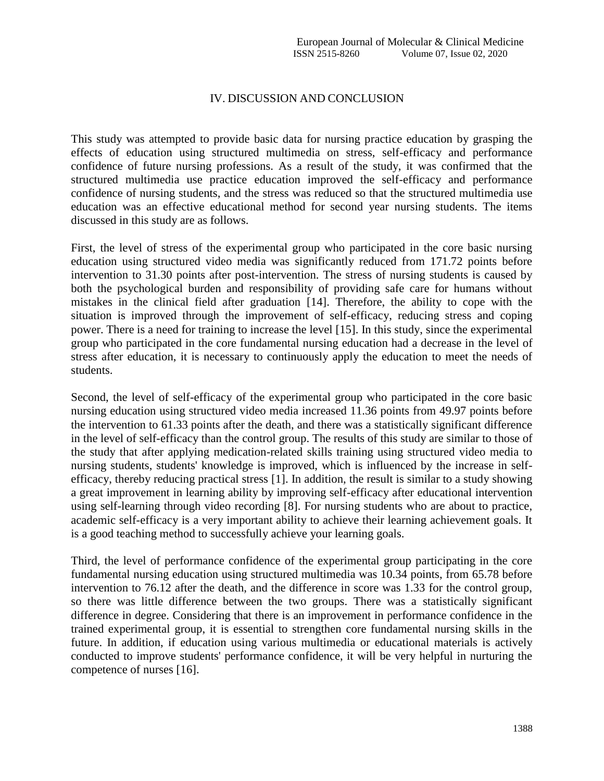## IV. DISCUSSION AND CONCLUSION

This study was attempted to provide basic data for nursing practice education by grasping the effects of education using structured multimedia on stress, self-efficacy and performance confidence of future nursing professions. As a result of the study, it was confirmed that the structured multimedia use practice education improved the self-efficacy and performance confidence of nursing students, and the stress was reduced so that the structured multimedia use education was an effective educational method for second year nursing students. The items discussed in this study are as follows.

First, the level of stress of the experimental group who participated in the core basic nursing education using structured video media was significantly reduced from 171.72 points before intervention to 31.30 points after post-intervention. The stress of nursing students is caused by both the psychological burden and responsibility of providing safe care for humans without mistakes in the clinical field after graduation [14]. Therefore, the ability to cope with the situation is improved through the improvement of self-efficacy, reducing stress and coping power. There is a need for training to increase the level [15]. In this study, since the experimental group who participated in the core fundamental nursing education had a decrease in the level of stress after education, it is necessary to continuously apply the education to meet the needs of students.

Second, the level of self-efficacy of the experimental group who participated in the core basic nursing education using structured video media increased 11.36 points from 49.97 points before the intervention to 61.33 points after the death, and there was a statistically significant difference in the level of self-efficacy than the control group. The results of this study are similar to those of the study that after applying medication-related skills training using structured video media to nursing students, students' knowledge is improved, which is influenced by the increase in selfefficacy, thereby reducing practical stress [1]. In addition, the result is similar to a study showing a great improvement in learning ability by improving self-efficacy after educational intervention using self-learning through video recording [8]. For nursing students who are about to practice, academic self-efficacy is a very important ability to achieve their learning achievement goals. It is a good teaching method to successfully achieve your learning goals.

Third, the level of performance confidence of the experimental group participating in the core fundamental nursing education using structured multimedia was 10.34 points, from 65.78 before intervention to 76.12 after the death, and the difference in score was 1.33 for the control group, so there was little difference between the two groups. There was a statistically significant difference in degree. Considering that there is an improvement in performance confidence in the trained experimental group, it is essential to strengthen core fundamental nursing skills in the future. In addition, if education using various multimedia or educational materials is actively conducted to improve students' performance confidence, it will be very helpful in nurturing the competence of nurses [16].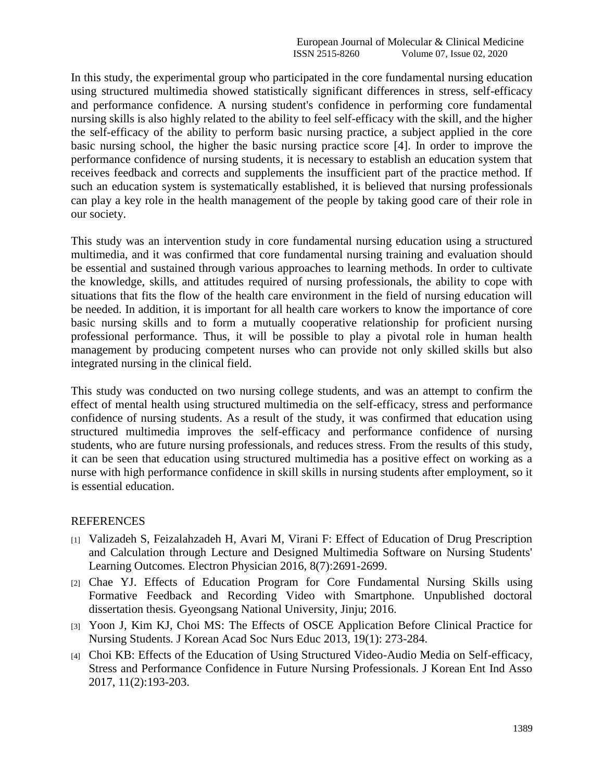In this study, the experimental group who participated in the core fundamental nursing education using structured multimedia showed statistically significant differences in stress, self-efficacy and performance confidence. A nursing student's confidence in performing core fundamental nursing skills is also highly related to the ability to feel self-efficacy with the skill, and the higher the self-efficacy of the ability to perform basic nursing practice, a subject applied in the core basic nursing school, the higher the basic nursing practice score [4]. In order to improve the performance confidence of nursing students, it is necessary to establish an education system that receives feedback and corrects and supplements the insufficient part of the practice method. If such an education system is systematically established, it is believed that nursing professionals can play a key role in the health management of the people by taking good care of their role in our society.

This study was an intervention study in core fundamental nursing education using a structured multimedia, and it was confirmed that core fundamental nursing training and evaluation should be essential and sustained through various approaches to learning methods. In order to cultivate the knowledge, skills, and attitudes required of nursing professionals, the ability to cope with situations that fits the flow of the health care environment in the field of nursing education will be needed. In addition, it is important for all health care workers to know the importance of core basic nursing skills and to form a mutually cooperative relationship for proficient nursing professional performance. Thus, it will be possible to play a pivotal role in human health management by producing competent nurses who can provide not only skilled skills but also integrated nursing in the clinical field.

This study was conducted on two nursing college students, and was an attempt to confirm the effect of mental health using structured multimedia on the self-efficacy, stress and performance confidence of nursing students. As a result of the study, it was confirmed that education using structured multimedia improves the self-efficacy and performance confidence of nursing students, who are future nursing professionals, and reduces stress. From the results of this study, it can be seen that education using structured multimedia has a positive effect on working as a nurse with high performance confidence in skill skills in nursing students after employment, so it is essential education.

# REFERENCES

- [1] Valizadeh S, Feizalahzadeh H, Avari M, Virani F: Effect of Education of Drug Prescription and Calculation through Lecture and Designed Multimedia Software on Nursing Students' Learning Outcomes*.* Electron Physician 2016, 8(7):2691-2699.
- [2] Chae YJ. Effects of Education Program for Core Fundamental Nursing Skills using Formative Feedback and Recording Video with Smartphone. Unpublished doctoral dissertation thesis. Gyeongsang National University, Jinju; 2016.
- [3] Yoon J, Kim KJ, Choi MS: The Effects of OSCE Application Before Clinical Practice for Nursing Students*.* J Korean Acad Soc Nurs Educ 2013, 19(1): 273-284.
- [4] Choi KB: Effects of the Education of Using Structured Video-Audio Media on Self-efficacy, Stress and Performance Confidence in Future Nursing Professionals. J Korean Ent Ind Asso 2017, 11(2):193-203.